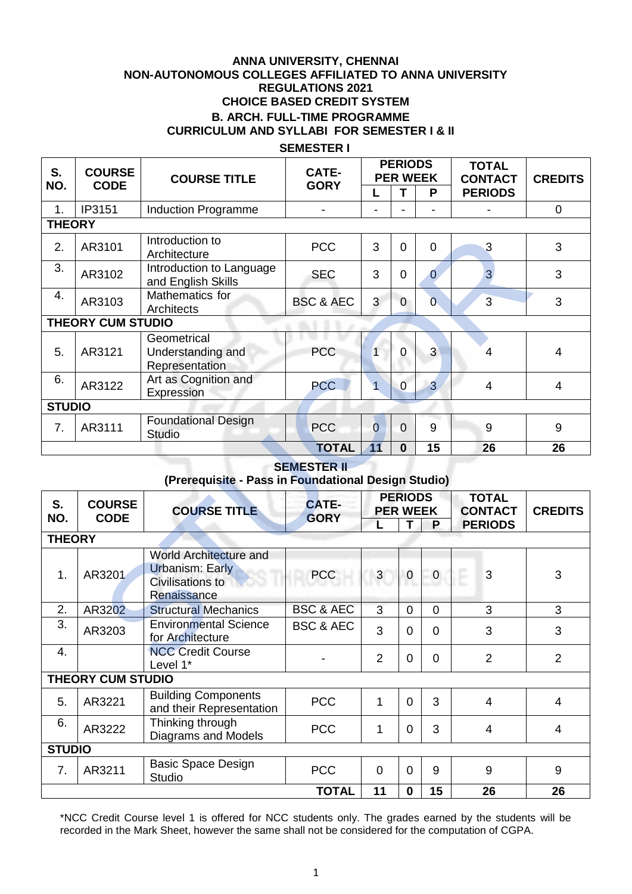### **ANNA UNIVERSITY, CHENNAI NON-AUTONOMOUS COLLEGES AFFILIATED TO ANNA UNIVERSITY REGULATIONS 2021 CHOICE BASED CREDIT SYSTEM B. ARCH. FULL-TIME PROGRAMME CURRICULUM AND SYLLABI FOR SEMESTER I & II**

### **SEMESTER I**

| S.<br>NO.                                                                 | <b>COURSE</b><br><b>CODE</b> | <b>COURSE TITLE</b>                                                                 | CATE-                       | <b>PERIODS</b><br><b>PER WEEK</b> |                |                                                            | <b>TOTAL</b><br><b>CONTACT</b> | <b>CREDITS</b> |  |
|---------------------------------------------------------------------------|------------------------------|-------------------------------------------------------------------------------------|-----------------------------|-----------------------------------|----------------|------------------------------------------------------------|--------------------------------|----------------|--|
|                                                                           |                              |                                                                                     | <b>GORY</b>                 | L                                 | T              | P                                                          | <b>PERIODS</b>                 |                |  |
| 1.                                                                        | IP3151                       | <b>Induction Programme</b>                                                          |                             |                                   |                |                                                            |                                | $\mathbf 0$    |  |
| <b>THEORY</b>                                                             |                              |                                                                                     |                             |                                   |                |                                                            |                                |                |  |
| 2.                                                                        | AR3101                       | Introduction to<br>Architecture                                                     | <b>PCC</b>                  | 3                                 | $\overline{0}$ | $\Omega$                                                   | 3                              | 3              |  |
| 3.                                                                        | AR3102                       | Introduction to Language<br>and English Skills                                      | <b>SEC</b>                  | 3                                 | $\overline{0}$ | $\overline{0}$                                             | $\overline{3}$                 | 3              |  |
| 4.                                                                        | AR3103                       | Mathematics for<br>Architects                                                       | <b>BSC &amp; AEC</b>        | 3                                 | $\Omega$       | $\overline{0}$                                             | $\overline{3}$                 | 3              |  |
|                                                                           | <b>THEORY CUM STUDIO</b>     |                                                                                     |                             |                                   |                |                                                            |                                |                |  |
| 5.                                                                        | AR3121                       | Geometrical<br>Understanding and<br>Representation                                  | <b>PCC</b>                  | $\mathbf{1}$                      | $\overline{0}$ | $\overline{3}$                                             | $\overline{4}$                 | $\overline{4}$ |  |
| 6.                                                                        | AR3122                       | Art as Cognition and<br>Expression                                                  | <b>PCC</b>                  | $\overline{1}$                    | $\mathbf 0$    | $\overline{3}$                                             | $\overline{4}$                 | $\overline{4}$ |  |
| <b>STUDIO</b>                                                             |                              |                                                                                     |                             |                                   |                |                                                            |                                |                |  |
| 7.                                                                        | AR3111                       | <b>Foundational Design</b><br><b>Studio</b>                                         | <b>PCC</b>                  | $\overline{0}$                    | $\overline{0}$ | 9                                                          | 9                              | 9              |  |
|                                                                           |                              |                                                                                     | <b>TOTAL</b>                | 11                                | $\bf{0}$       | 15                                                         | 26                             | 26             |  |
| <b>SEMESTER II</b><br>(Prerequisite - Pass in Foundational Design Studio) |                              |                                                                                     |                             |                                   |                |                                                            |                                |                |  |
| S.<br>NO.                                                                 | <b>COURSE</b><br><b>CODE</b> | <b>COURSE TITLE</b>                                                                 | <b>CATE-</b><br><b>GORY</b> | <b>PERIODS</b><br><b>PER WEEK</b> |                | <b>TOTAL</b><br><b>CONTACT</b><br>T<br>P<br><b>PERIODS</b> |                                | <b>CREDITS</b> |  |
| <b>THEORY</b>                                                             |                              |                                                                                     |                             |                                   |                |                                                            |                                |                |  |
| 1.                                                                        | AR3201                       | <b>World Architecture and</b><br>Urbanism: Early<br>Civilisations to<br>Renaissance | <b>PCC</b>                  | $\mathbf{3}$                      | $\overline{0}$ | $\overline{0}$                                             | 3<br>çĒ.                       | 3              |  |
| 2.                                                                        | AR3202                       | <b>Structural Mechanics</b>                                                         | <b>BSC &amp; AEC</b>        | 3                                 | $\overline{0}$ | $\mathbf 0$                                                | 3                              | 3              |  |
| 3.                                                                        | AR3203                       | <b>Environmental Science</b><br>for Architecture                                    | <b>BSC &amp; AEC</b>        | 3                                 | $\overline{0}$ | $\mathbf 0$                                                | 3                              | 3              |  |
| 4.                                                                        |                              | <b>NCC Credit Course</b><br>ا ام $\nu$ م ا $*$                                      |                             | $\overline{2}$                    | $\mathbf 0$    | $\mathbf 0$                                                | $\overline{2}$                 | $\overline{2}$ |  |

#### **SEMESTER II (Prerequisite - Pass in Foundational Design Studio)**

| S.                       | <b>COURSE</b>                       | <b>COURSE TITLE</b><br><b>CODE</b>                                                         | <b>CATE-</b>         | <b>PERIODS</b><br><b>PER WEEK</b> |                |             | <b>TOTAL</b><br><b>CONTACT</b> | <b>CREDITS</b> |  |
|--------------------------|-------------------------------------|--------------------------------------------------------------------------------------------|----------------------|-----------------------------------|----------------|-------------|--------------------------------|----------------|--|
| NO.                      |                                     |                                                                                            | <b>GORY</b>          | L.                                |                | P           | <b>PERIODS</b>                 |                |  |
|                          | <b>THEORY</b>                       |                                                                                            |                      |                                   |                |             |                                |                |  |
| 1.                       | AR3201                              | <b>World Architecture and</b><br><b>Urbanism: Early</b><br>Civilisations to<br>Renaissance | <b>PCC</b>           | 3                                 | $\pmb{0}$      | $\mathbf 0$ | 3                              | 3              |  |
| 2.                       | AR3202                              | <b>Structural Mechanics</b>                                                                | <b>BSC &amp; AEC</b> | 3                                 | $\overline{0}$ | $\Omega$    | 3                              | 3              |  |
| 3.                       | AR3203                              | <b>Environmental Science</b><br>for Architecture                                           | <b>BSC &amp; AEC</b> | 3                                 | $\overline{0}$ | $\Omega$    | 3                              | 3              |  |
| $\overline{4}$ .         |                                     | <b>NCC Credit Course</b><br>Level 1*                                                       |                      | $\overline{2}$                    | $\mathbf 0$    | $\Omega$    | $\overline{2}$                 | $\overline{2}$ |  |
| <b>THEORY CUM STUDIO</b> |                                     |                                                                                            |                      |                                   |                |             |                                |                |  |
| 5.                       | AR3221                              | <b>Building Components</b><br>and their Representation                                     | <b>PCC</b>           | 1                                 | $\overline{0}$ | 3           | 4                              | $\overline{4}$ |  |
| 6.                       | AR3222                              | Thinking through<br>Diagrams and Models                                                    | <b>PCC</b>           | 1                                 | $\overline{0}$ | 3           | 4                              | $\overline{4}$ |  |
|                          | <b>STUDIO</b>                       |                                                                                            |                      |                                   |                |             |                                |                |  |
| 7.                       | AR3211                              | <b>Basic Space Design</b><br><b>Studio</b>                                                 | <b>PCC</b>           | 0                                 | $\overline{0}$ | 9           | 9                              | 9              |  |
|                          | <b>TOTAL</b><br>11<br>26<br>26<br>0 |                                                                                            |                      |                                   |                | 15          |                                |                |  |

\*NCC Credit Course level 1 is offered for NCC students only. The grades earned by the students will be recorded in the Mark Sheet, however the same shall not be considered for the computation of CGPA.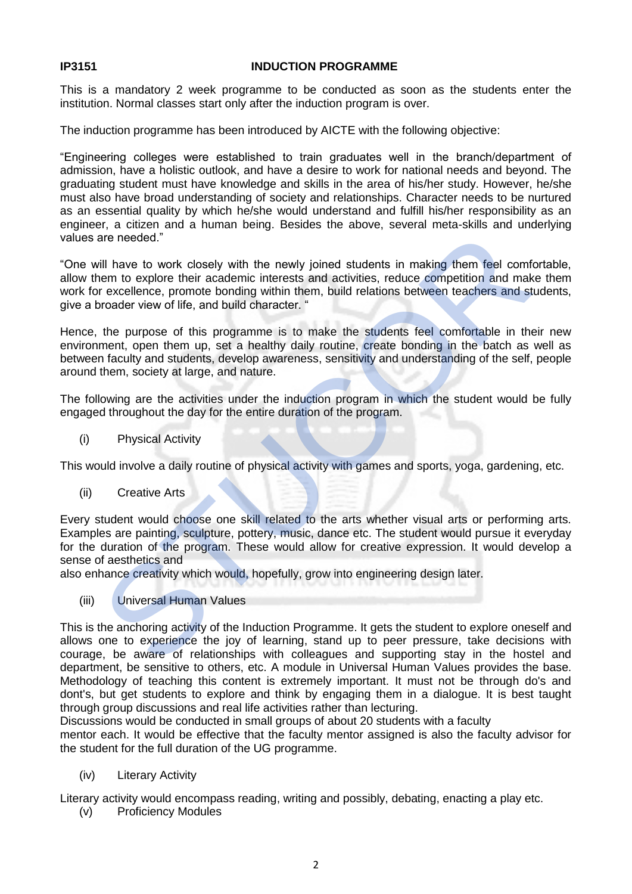#### **IP3151 INDUCTION PROGRAMME**

This is a mandatory 2 week programme to be conducted as soon as the students enter the institution. Normal classes start only after the induction program is over.

The induction programme has been introduced by AICTE with the following objective:

"Engineering colleges were established to train graduates well in the branch/department of admission, have a holistic outlook, and have a desire to work for national needs and beyond. The graduating student must have knowledge and skills in the area of his/her study. However, he/she must also have broad understanding of society and relationships. Character needs to be nurtured as an essential quality by which he/she would understand and fulfill his/her responsibility as an engineer, a citizen and a human being. Besides the above, several meta-skills and underlying values are needed."

"One will have to work closely with the newly joined students in making them feel comfortable, allow them to explore their academic interests and activities, reduce competition and make them work for excellence, promote bonding within them, build relations between teachers and students, give a broader view of life, and build character. "

Hence, the purpose of this programme is to make the students feel comfortable in their new environment, open them up, set a healthy daily routine, create bonding in the batch as well as between faculty and students, develop awareness, sensitivity and understanding of the self, people around them, society at large, and nature.

The following are the activities under the induction program in which the student would be fully engaged throughout the day for the entire duration of the program.

(i) Physical Activity

This would involve a daily routine of physical activity with games and sports, yoga, gardening, etc.

(ii) Creative Arts

Every student would choose one skill related to the arts whether visual arts or performing arts. Examples are painting, sculpture, pottery, music, dance etc. The student would pursue it everyday for the duration of the program. These would allow for creative expression. It would develop a sense of aesthetics and are needed."<br>
will have to work closely with the newly joined students in making them feel comform to explore their academic interests and activities, reduce competition and making with respect to explore their and modific

also enhance creativity which would, hopefully, grow into engineering design later.

(iii) Universal Human Values

This is the anchoring activity of the Induction Programme. It gets the student to explore oneself and allows one to experience the joy of learning, stand up to peer pressure, take decisions with courage, be aware of relationships with colleagues and supporting stay in the hostel and department, be sensitive to others, etc. A module in Universal Human Values provides the base. Methodology of teaching this content is extremely important. It must not be through do's and dont's, but get students to explore and think by engaging them in a dialogue. It is best taught through group discussions and real life activities rather than lecturing.

Discussions would be conducted in small groups of about 20 students with a faculty

mentor each. It would be effective that the faculty mentor assigned is also the faculty advisor for the student for the full duration of the UG programme.

(iv) Literary Activity

Literary activity would encompass reading, writing and possibly, debating, enacting a play etc.

(v) Proficiency Modules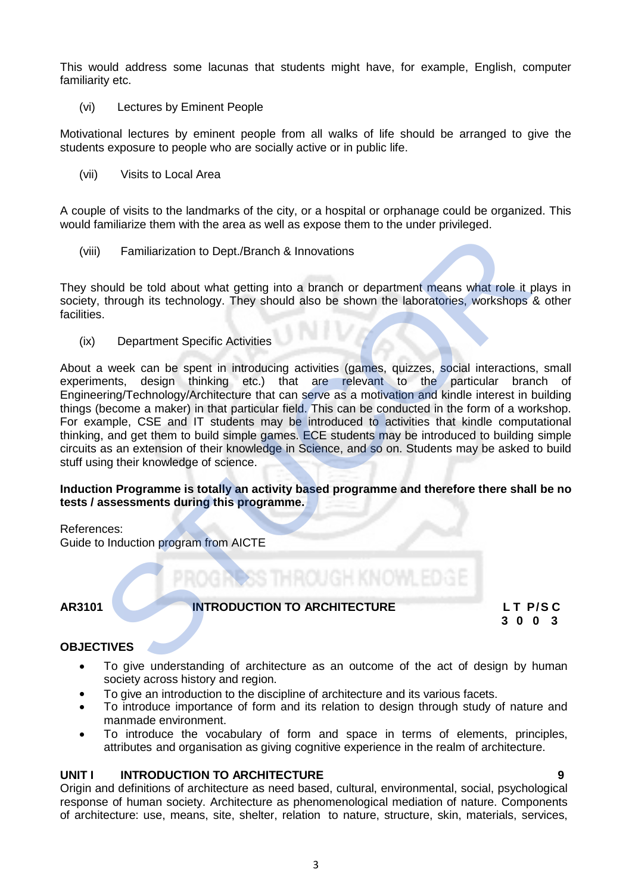This would address some lacunas that students might have, for example, English, computer familiarity etc.

(vi) Lectures by Eminent People

Motivational lectures by eminent people from all walks of life should be arranged to give the students exposure to people who are socially active or in public life.

(vii) Visits to Local Area

A couple of visits to the landmarks of the city, or a hospital or orphanage could be organized. This would familiarize them with the area as well as expose them to the under privileged.

(viii) Familiarization to Dept./Branch & Innovations

They should be told about what getting into a branch or department means what role it plays in society, through its technology. They should also be shown the laboratories, workshops & other facilities.

(ix) Department Specific Activities

About a week can be spent in introducing activities (games, quizzes, social interactions, small experiments, design thinking etc.) that are relevant to the particular branch of Engineering/Technology/Architecture that can serve as a motivation and kindle interest in building things (become a maker) in that particular field. This can be conducted in the form of a workshop. For example, CSE and IT students may be introduced to activities that kindle computational thinking, and get them to build simple games. ECE students may be introduced to building simple circuits as an extension of their knowledge in Science, and so on. Students may be asked to build stuff using their knowledge of science. Familiarization to Dept./Branch & Innovations<br>
Should be told about what getting into a branch or department means what role it, through its technology. They should also be shown the laboratories, workshops is.<br>
S.<br>
Depart

#### **Induction Programme is totally an activity based programme and therefore there shall be no tests / assessments during this programme.**

References: Guide to Induction program from AICTE

### **AR3101 INTRODUCTION TO ARCHITECTURE LT P/S C**

**3 0 0 3** 

### **OBJECTIVES**

- To give understanding of architecture as an outcome of the act of design by human society across history and region.
- To give an introduction to the discipline of architecture and its various facets.
- To introduce importance of form and its relation to design through study of nature and manmade environment.
- To introduce the vocabulary of form and space in terms of elements, principles, attributes and organisation as giving cognitive experience in the realm of architecture.

### **UNIT I INTRODUCTION TO ARCHITECTURE 9**

Origin and definitions of architecture as need based, cultural, environmental, social, psychological response of human society. Architecture as phenomenological mediation of nature. Components of architecture: use, means, site, shelter, relation to nature, structure, skin, materials, services,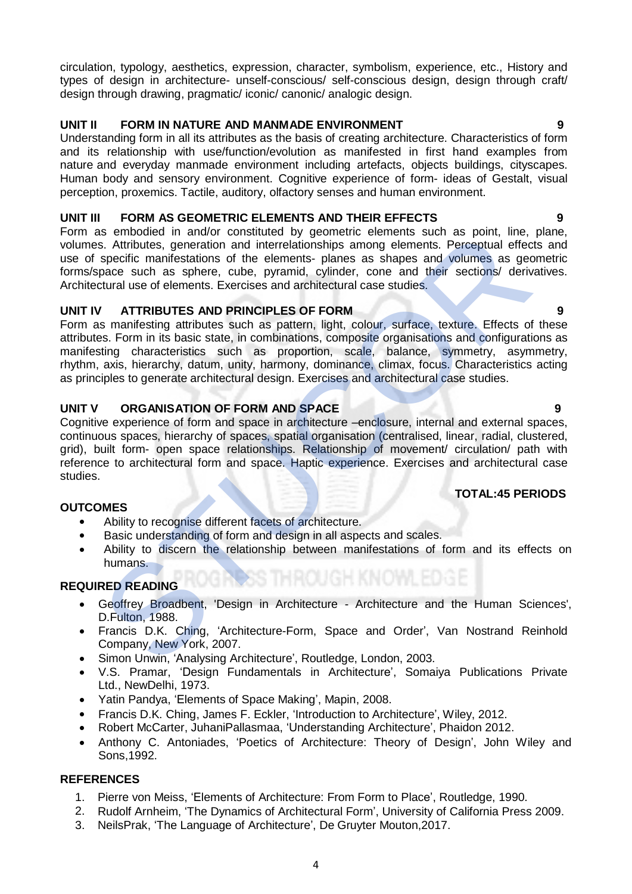circulation, typology, aesthetics, expression, character, symbolism, experience, etc., History and types of design in architecture- unself-conscious/ self-conscious design, design through craft/ design through drawing, pragmatic/ iconic/ canonic/ analogic design.

# **UNIT II FORM IN NATURE AND MANMADE ENVIRONMENT**

Understanding form in all its attributes as the basis of creating architecture. Characteristics of form and its relationship with use/function/evolution as manifested in first hand examples from nature and everyday manmade environment including artefacts, objects buildings, cityscapes. Human body and sensory environment. Cognitive experience of form- ideas of Gestalt, visual perception, proxemics. Tactile, auditory, olfactory senses and human environment.

### **UNIT III FORM AS GEOMETRIC ELEMENTS AND THEIR EFFECTS 9**

Form as embodied in and/or constituted by geometric elements such as point, line, plane, volumes. Attributes, generation and interrelationships among elements. Perceptual effects and use of specific manifestations of the elements- planes as shapes and volumes as geometric forms/space such as sphere, cube, pyramid, cylinder, cone and their sections/ derivatives. Architectural use of elements. Exercises and architectural case studies.

### **UNIT IV ATTRIBUTES AND PRINCIPLES OF FORM 9**

Form as manifesting attributes such as pattern, light, colour, surface, texture. Effects of these attributes. Form in its basic state, in combinations, composite organisations and configurations as manifesting characteristics such as proportion, scale, balance, symmetry, asymmetry, rhythm, axis, hierarchy, datum, unity, harmony, dominance, climax, focus. Characteristics acting as principles to generate architectural design. Exercises and architectural case studies. as emodeled in and/or constituted by geometric elements such as point, line,<br>is. Attributes, generation and interrelationships among elements. Perceptual effects<br>are different inflects and interrelationships among elements

### **UNIT V ORGANISATION OF FORM AND SPACE 9**

Cognitive experience of form and space in architecture –enclosure, internal and external spaces, continuous spaces, hierarchy of spaces, spatial organisation (centralised, linear, radial, clustered, grid), built form- open space relationships. Relationship of movement/ circulation/ path with reference to architectural form and space. Haptic experience. Exercises and architectural case studies.

### **TOTAL:45 PERIODS**

### **OUTCOMES**

- Ability to recognise different facets of architecture.
- Basic understanding of form and design in all aspects and scales.
- Ability to discern the relationship between manifestations of form and its effects on humans.

### **REQUIRED READING**

- Geoffrey Broadbent, 'Design in Architecture Architecture and the Human Sciences', D.Fulton, 1988.
- Francis D.K. Ching, 'Architecture-Form, Space and Order', Van Nostrand Reinhold Company, New York, 2007.
- Simon Unwin, 'Analysing Architecture', Routledge, London, 2003.
- V.S. Pramar, 'Design Fundamentals in Architecture', Somaiya Publications Private Ltd., NewDelhi, 1973.
- Yatin Pandya, 'Elements of Space Making', Mapin, 2008.
- Francis D.K. Ching, James F. Eckler, 'Introduction to Architecture', Wiley, 2012.
- Robert McCarter, JuhaniPallasmaa, 'Understanding Architecture', Phaidon 2012.
- Anthony C. Antoniades, 'Poetics of Architecture: Theory of Design', John Wiley and Sons,1992.

- 1. Pierre von Meiss, 'Elements of Architecture: From Form to Place', Routledge, 1990.
- 2. Rudolf Arnheim, 'The Dynamics of Architectural Form', University of California Press 2009.
- 3. NeilsPrak, 'The Language of Architecture', De Gruyter Mouton,2017.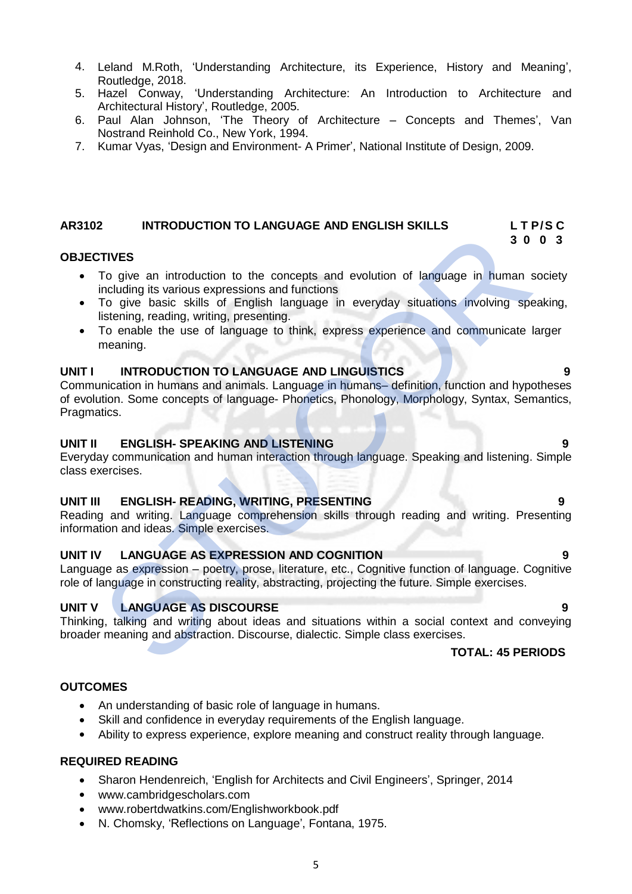- 4. Leland M.Roth, 'Understanding Architecture, its Experience, History and Meaning', Routledge, 2018.
- 5. Hazel Conway, 'Understanding Architecture: An Introduction to Architecture and Architectural History', Routledge, 2005.
- 6. Paul Alan Johnson, 'The Theory of Architecture Concepts and Themes', Van Nostrand Reinhold Co., New York, 1994.
- 7. Kumar Vyas, 'Design and Environment- A Primer', National Institute of Design, 2009.

### **AR3102 INTRODUCTION TO LANGUAGE AND ENGLISH SKILLS L T P/S C**

#### **OBJECTIVES**

 To give an introduction to the concepts and evolution of language in human society including its various expressions and functions

 **3 0 0 3**

- To give basic skills of English language in everyday situations involving speaking, listening, reading, writing, presenting.
- To enable the use of language to think, express experience and communicate larger meaning.

### **UNIT I INTRODUCTION TO LANGUAGE AND LINGUISTICS 9**

Communication in humans and animals. Language in humans– definition, function and hypotheses of evolution. Some concepts of language- Phonetics, Phonology, Morphology, Syntax, Semantics, Pragmatics. TIVES<br>
To give an introduction to the concepts and evolution of language in human sincluding its various expressions and functions<br>
To give an introduction to the concepts and evolution of language in human sincluding its

### **UNIT II ENGLISH- SPEAKING AND LISTENING 9**

Everyday communication and human interaction through language. Speaking and listening. Simple class exercises.

### **UNIT III ENGLISH- READING, WRITING, PRESENTING 9**

Reading and writing. Language comprehension skills through reading and writing. Presenting information and ideas. Simple exercises.

#### **UNIT IV LANGUAGE AS EXPRESSION AND COGNITION 9**

Language as expression – poetry, prose, literature, etc., Cognitive function of language. Cognitive role of language in constructing reality, abstracting, projecting the future. Simple exercises.

### **UNIT V LANGUAGE AS DISCOURSE 9**

Thinking, talking and writing about ideas and situations within a social context and conveying broader meaning and abstraction. Discourse, dialectic. Simple class exercises.

#### **TOTAL: 45 PERIODS**

#### **OUTCOMES**

- An understanding of basic role of language in humans.
- Skill and confidence in everyday requirements of the English language.
- Ability to express experience, explore meaning and construct reality through language.

#### **REQUIRED READING**

- Sharon Hendenreich, 'English for Architects and Civil Engineers', Springer, 2014
- [www.cambridgescholars.com](http://www.cambridgescholars.com/)
- [www.robertdwatkins.com/Englishworkbook.pdf](http://www.robertdwatkins.com/Englishworkbook.pdf)
- N. Chomsky, 'Reflections on Language', Fontana, 1975.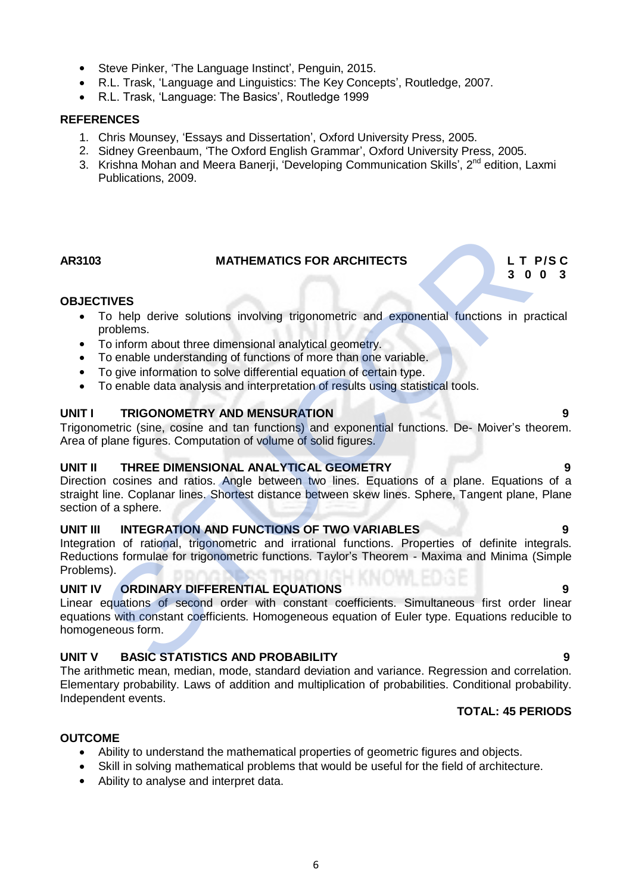- Steve Pinker, 'The Language Instinct', Penguin, 2015.
- R.L. Trask, 'Language and Linguistics: The Key Concepts', Routledge, 2007.
- R.L. Trask, 'Language: The Basics', Routledge 1999

### **REFERENCES**

- 1. Chris Mounsey, 'Essays and Dissertation', Oxford University Press, 2005.
- 2. Sidney Greenbaum, 'The Oxford English Grammar', Oxford University Press, 2005.
- 3. Krishna Mohan and Meera Banerji, 'Developing Communication Skills', 2<sup>nd</sup> edition, Laxmi Publications, 2009.

#### AR3103 MATHEMATICS FOR ARCHITECTS **L T P/S C**<br>3 0 0 3  **3 0 0 3**

#### **OBJECTIVES**

- To help derive solutions involving trigonometric and exponential functions in practical problems.
- To inform about three dimensional analytical geometry.
- To enable understanding of functions of more than one variable.
- To give information to solve differential equation of certain type.
- To enable data analysis and interpretation of results using statistical tools.

### **UNIT I TRIGONOMETRY AND MENSURATION 40 CONSUMING A REAL PROPERTY OF A REAL PROPERTY OF A REAL PROPERTY OF A RE**

Trigonometric (sine, cosine and tan functions) and exponential functions. De- Moiver's theorem. Area of plane figures. Computation of volume of solid figures.

#### **UNIT II THREE DIMENSIONAL ANALYTICAL GEOMETRY 9**

Direction cosines and ratios. Angle between two lines. Equations of a plane. Equations of a straight line. Coplanar lines. Shortest distance between skew lines. Sphere, Tangent plane, Plane section of a sphere. MATHEMATICS FOR ARCHITECTS<br>
TIVES<br>
To help derive solutions involving trigonometric and exponential functions in problems.<br>
To inform about three dimensional analytical geometry.<br>
To enable data analytical of functions of

### **UNIT III INTEGRATION AND FUNCTIONS OF TWO VARIABLES 9**

Integration of rational, trigonometric and irrational functions. Properties of definite integrals. Reductions formulae for trigonometric functions. Taylor's Theorem - Maxima and Minima (Simple Problems).

#### **UNIT IV ORDINARY DIFFERENTIAL EQUATIONS 9**

Linear equations of second order with constant coefficients. Simultaneous first order linear equations with constant coefficients. Homogeneous equation of Euler type. Equations reducible to homogeneous form.

### **UNIT V BASIC STATISTICS AND PROBABILITY 9**

The arithmetic mean, median, mode, standard deviation and variance. Regression and correlation. Elementary probability. Laws of addition and multiplication of probabilities. Conditional probability. Independent events.

### **TOTAL: 45 PERIODS**

### **OUTCOME**

- Ability to understand the mathematical properties of geometric figures and objects.
- Skill in solving mathematical problems that would be useful for the field of architecture.
- Ability to analyse and interpret data.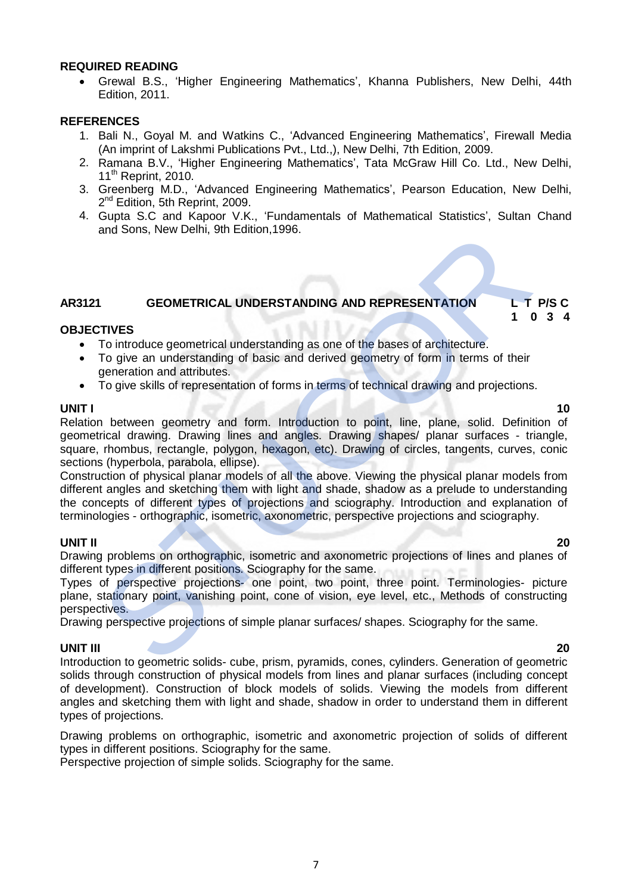#### **REQUIRED READING**

 Grewal B.S., 'Higher Engineering Mathematics', Khanna Publishers, New Delhi, 44th Edition, 2011.

#### **REFERENCES**

- 1. Bali N., Goyal M. and Watkins C., 'Advanced Engineering Mathematics', Firewall Media (An imprint of Lakshmi Publications Pvt., Ltd.,), New Delhi, 7th Edition, 2009.
- 2. Ramana B.V., 'Higher Engineering Mathematics', Tata McGraw Hill Co. Ltd., New Delhi, 11<sup>th</sup> Reprint, 2010.
- 3. Greenberg M.D., 'Advanced Engineering Mathematics', Pearson Education, New Delhi, 2<sup>nd</sup> Edition, 5th Reprint, 2009.
- 4. Gupta S.C and Kapoor V.K., 'Fundamentals of Mathematical Statistics', Sultan Chand and Sons, New Delhi, 9th Edition,1996.

# **AR3121 GEOMETRICAL UNDERSTANDING AND REPRESENTATION L T P/S C**

#### **1 0 3 4 OBJECTIVES**

- To introduce geometrical understanding as one of the bases of architecture.
- To give an understanding of basic and derived geometry of form in terms of their generation and attributes.
- To give skills of representation of forms in terms of technical drawing and projections.

**UNIT I 10** Relation between geometry and form. Introduction to point, line, plane, solid. Definition of geometrical drawing. Drawing lines and angles. Drawing shapes/ planar surfaces - triangle, square, rhombus, rectangle, polygon, hexagon, etc). Drawing of circles, tangents, curves, conic sections (hyperbola, parabola, ellipse). and Sons, New Definit, Striedion, 1996.<br>
Truces<br>
To introduce geometrical understanding as one of the bases of architecture.<br>
To introduce geometrical understanding as one of the bases of architecture.<br>
To give an understa

Construction of physical planar models of all the above. Viewing the physical planar models from different angles and sketching them with light and shade, shadow as a prelude to understanding the concepts of different types of projections and sciography. Introduction and explanation of terminologies - orthographic, isometric, axonometric, perspective projections and sciography.

#### **UNIT II 20**

Drawing problems on orthographic, isometric and axonometric projections of lines and planes of different types in different positions. Sciography for the same.

Types of perspective projections- one point, two point, three point. Terminologies- picture plane, stationary point, vanishing point, cone of vision, eye level, etc., Methods of constructing perspectives.

Drawing perspective projections of simple planar surfaces/ shapes. Sciography for the same.

#### **UNIT III 20**

Introduction to geometric solids- cube, prism, pyramids, cones, cylinders. Generation of geometric solids through construction of physical models from lines and planar surfaces (including concept of development). Construction of block models of solids. Viewing the models from different angles and sketching them with light and shade, shadow in order to understand them in different types of projections.

Drawing problems on orthographic, isometric and axonometric projection of solids of different types in different positions. Sciography for the same.

Perspective projection of simple solids. Sciography for the same.

#### 7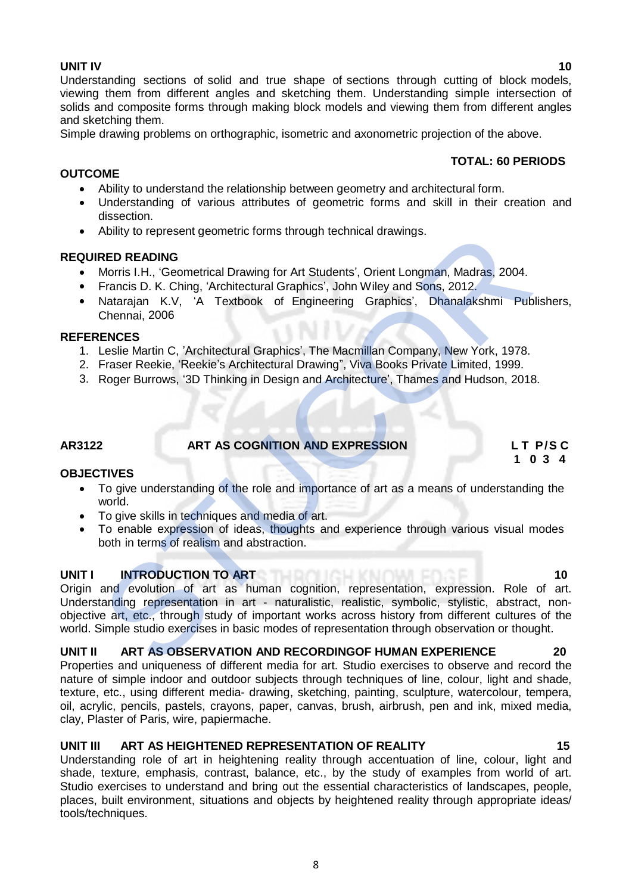### **UNIT IV 10**

**OUTCOME**

Understanding sections of solid and true shape of sections through cutting of block models, viewing them from different angles and sketching them. Understanding simple intersection of solids and composite forms through making block models and viewing them from different angles and sketching them.

Simple drawing problems on orthographic, isometric and axonometric projection of the above.

### **TOTAL: 60 PERIODS**

- Ability to understand the relationship between geometry and architectural form.
- Understanding of various attributes of geometric forms and skill in their creation and dissection.
- Ability to represent geometric forms through technical drawings.

#### **REQUIRED READING**

- Morris I.H., 'Geometrical Drawing for Art Students', Orient Longman, Madras, 2004.
- Francis D. K. Ching, 'Architectural Graphics', John Wiley and Sons, 2012.
- Natarajan K.V, 'A Textbook of Engineering Graphics', Dhanalakshmi Publishers, Chennai, 2006

#### **REFERENCES**

- 1. Leslie Martin C, 'Architectural Graphics', The Macmillan Company, New York, 1978.
- 2. Fraser Reekie, 'Reekie's Architectural Drawing", Viva Books Private Limited, 1999.
- 3. Roger Burrows, '3D Thinking in Design and Architecture', Thames and Hudson, 2018.

**AR3122 ART AS COGNITION AND EXPRESSION L T P/S C**

**OBJECTIVES**

 To give understanding of the role and importance of art as a means of understanding the world.

 **1 0 3 4**

- To give skills in techniques and media of art.<br>• To enable expression of ideas, thoughts are
- To enable expression of ideas, thoughts and experience through various visual modes both in terms of realism and abstraction.

#### **UNITI INTRODUCTION TO ART 100 THE RUN TO LIGHT OF RUN TO 10**

Origin and evolution of art as human cognition, representation, expression. Role of art. Understanding representation in art - naturalistic, realistic, symbolic, stylistic, abstract, nonobjective art, etc., through study of important works across history from different cultures of the world. Simple studio exercises in basic modes of representation through observation or thought. Ability to represent geometric torms through technical drawings.<br>
RED READING<br>
Morris I.H., Geometrical Drawing for Art Students', Orient Longman, Madras, 2004.<br>
Francis D. K. Ching, 'Architectural Graphics', John Wiley an

#### **UNIT II ART AS OBSERVATION AND RECORDINGOF HUMAN EXPERIENCE 20**

Properties and uniqueness of different media for art. Studio exercises to observe and record the nature of simple indoor and outdoor subjects through techniques of line, colour, light and shade, texture, etc., using different media- drawing, sketching, painting, sculpture, watercolour, tempera, oil, acrylic, pencils, pastels, crayons, paper, canvas, brush, airbrush, pen and ink, mixed media, clay, Plaster of Paris, wire, papiermache.

### **UNIT III ART AS HEIGHTENED REPRESENTATION OF REALITY 15**

Understanding role of art in heightening reality through accentuation of line, colour, light and shade, texture, emphasis, contrast, balance, etc., by the study of examples from world of art. Studio exercises to understand and bring out the essential characteristics of landscapes, people, places, built environment, situations and objects by heightened reality through appropriate ideas/ tools/techniques.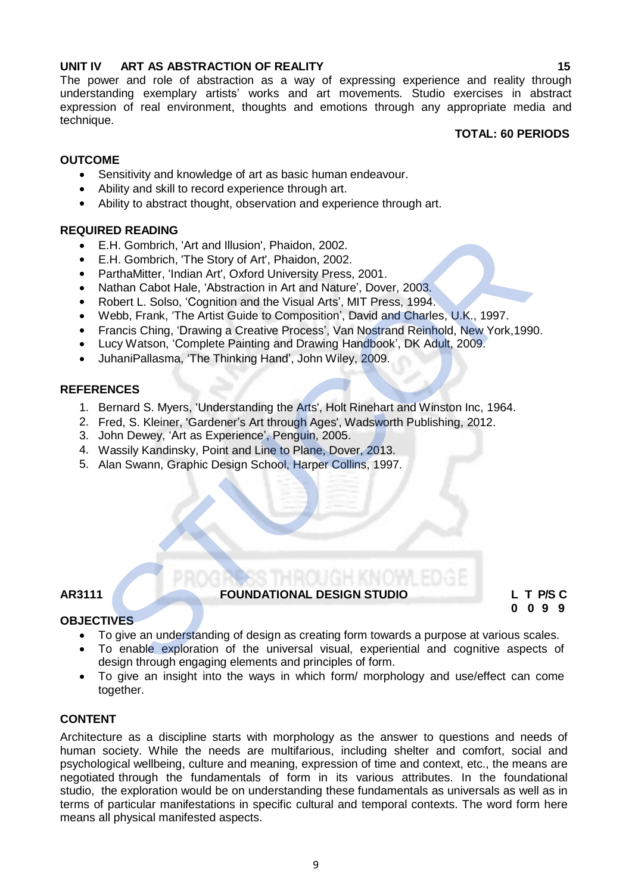### **UNIT IV ART AS ABSTRACTION OF REALITY 15**

The power and role of abstraction as a way of expressing experience and reality through understanding exemplary artists' works and art movements. Studio exercises in abstract expression of real environment, thoughts and emotions through any appropriate media and technique.

### **TOTAL: 60 PERIODS**

# **OUTCOME**

- Sensitivity and knowledge of art as basic human endeavour.
- Ability and skill to record experience through art.
- Ability to abstract thought, observation and experience through art.

#### **REQUIRED READING**

- E.H. Gombrich, 'Art and Illusion', Phaidon, 2002.
- E.H. Gombrich, 'The Story of Art', Phaidon, 2002.
- ParthaMitter, 'Indian Art', Oxford University Press, 2001.
- Nathan Cabot Hale, 'Abstraction in Art and Nature', Dover, 2003.
- Robert L. Solso, 'Cognition and the Visual Arts', MIT Press, 1994.
- Webb, Frank, 'The Artist Guide to Composition', David and Charles, U.K., 1997.
- Francis Ching, 'Drawing a Creative Process', Van Nostrand Reinhold, New York,1990.
- Lucy Watson, 'Complete Painting and Drawing Handbook', DK Adult, 2009.
- JuhaniPallasma, 'The Thinking Hand', John Wiley, 2009.

#### **REFERENCES**

- 1. Bernard S. Myers, 'Understanding the Arts', Holt Rinehart and Winston Inc, 1964.
- 2. Fred, S. Kleiner, 'Gardener's Art through Ages', Wadsworth Publishing, 2012.
- 3. John Dewey, 'Art as Experience', Penguin, 2005.
- 4. Wassily Kandinsky, Point and Line to Plane, Dover, 2013.
- 5. Alan Swann, Graphic Design School, Harper Collins, 1997.

### **AR3111 FOUNDATIONAL DESIGN STUDIO L T P/S C**

 **0 0 9 9**

#### **OBJECTIVES**

- To give an understanding of design as creating form towards a purpose at various scales.<br>• To enable exploration of the universal visual, experiential and cognitive aspects of
- To enable exploration of the universal visual, experiential and cognitive aspects of design through engaging elements and principles of form. NED NEADING<br>
NEL Sombrich, 'Art and Illusion', Phaidon, 2002.<br>
E.H. Gombrich, 'The Story of Art', Phaidon, 2002.<br>
ParthaMitter, 'Indian Art', Oxford University Press, 2001.<br>
Nathan Cabot Hale, 'Abstraction in Art and Natur
- To give an insight into the ways in which form/ morphology and use/effect can come together.

#### **CONTENT**

Architecture as a discipline starts with morphology as the answer to questions and needs of human society. While the needs are multifarious, including shelter and comfort, social and psychological wellbeing, culture and meaning, expression of time and context, etc., the means are negotiated through the fundamentals of form in its various attributes. In the foundational studio, the exploration would be on understanding these fundamentals as universals as well as in terms of particular manifestations in specific cultural and temporal contexts. The word form here means all physical manifested aspects.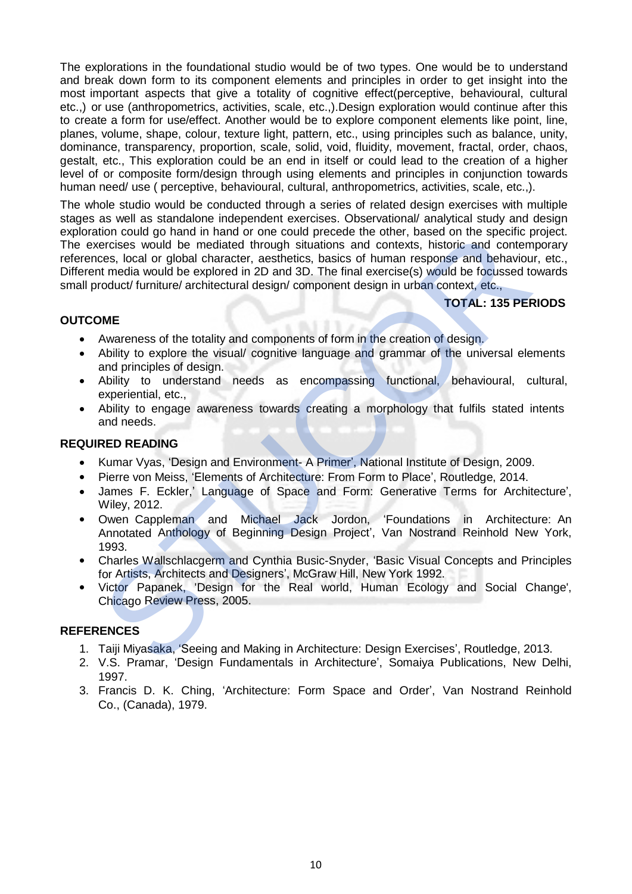The explorations in the foundational studio would be of two types. One would be to understand and break down form to its component elements and principles in order to get insight into the most important aspects that give a totality of cognitive effect(perceptive, behavioural, cultural etc.,) or use (anthropometrics, activities, scale, etc.,).Design exploration would continue after this to create a form for use/effect. Another would be to explore component elements like point, line, planes, volume, shape, colour, texture light, pattern, etc., using principles such as balance, unity, dominance, transparency, proportion, scale, solid, void, fluidity, movement, fractal, order, chaos, gestalt, etc., This exploration could be an end in itself or could lead to the creation of a higher level of or composite form/design through using elements and principles in conjunction towards human need/ use ( perceptive, behavioural, cultural, anthropometrics, activities, scale, etc.,).

The whole studio would be conducted through a series of related design exercises with multiple stages as well as standalone independent exercises. Observational/ analytical study and design exploration could go hand in hand or one could precede the other, based on the specific project. The exercises would be mediated through situations and contexts, historic and contemporary references, local or global character, aesthetics, basics of human response and behaviour, etc., Different media would be explored in 2D and 3D. The final exercise(s) would be focussed towards small product/ furniture/ architectural design/ component design in urban context, etc., tion could go hand in hand or one could precede the other, based on the specific<br>recrises would be mediated through situations and contexts, historic and contem<br>coes, local or global character, aesthetics, basis of human r

### **TOTAL: 135 PERIODS**

### **OUTCOME**

- Awareness of the totality and components of form in the creation of design.
- Ability to explore the visual/ cognitive language and grammar of the universal elements and principles of design.
- Ability to understand needs as encompassing functional, behavioural, cultural, experiential, etc.,
- Ability to engage awareness towards creating a morphology that fulfils stated intents and needs.

#### **REQUIRED READING**

- Kumar Vyas, 'Design and Environment- A Primer', National Institute of Design, 2009.
- Pierre von Meiss, 'Elements of Architecture: From Form to Place', Routledge, 2014.
- James F. Eckler,' Language of Space and Form: Generative Terms for Architecture', Wiley, 2012.
- Owen Cappleman and Michael Jack Jordon, 'Foundations in Architecture: An Annotated Anthology of Beginning Design Project', Van Nostrand Reinhold New York, 1993.
- Charles Wallschlacgerm and Cynthia Busic-Snyder, 'Basic Visual Concepts and Principles for Artists, Architects and Designers', McGraw Hill, New York 1992.
- Victor Papanek, 'Design for the Real world, Human Ecology and Social Change', Chicago Review Press, 2005.

- 1. Taiji Miyasaka, 'Seeing and Making in Architecture: Design Exercises', Routledge, 2013.
- 2. V.S. Pramar, 'Design Fundamentals in Architecture', Somaiya Publications, New Delhi, 1997.
- 3. Francis D. K. Ching, 'Architecture: Form Space and Order', Van Nostrand Reinhold Co., (Canada), 1979.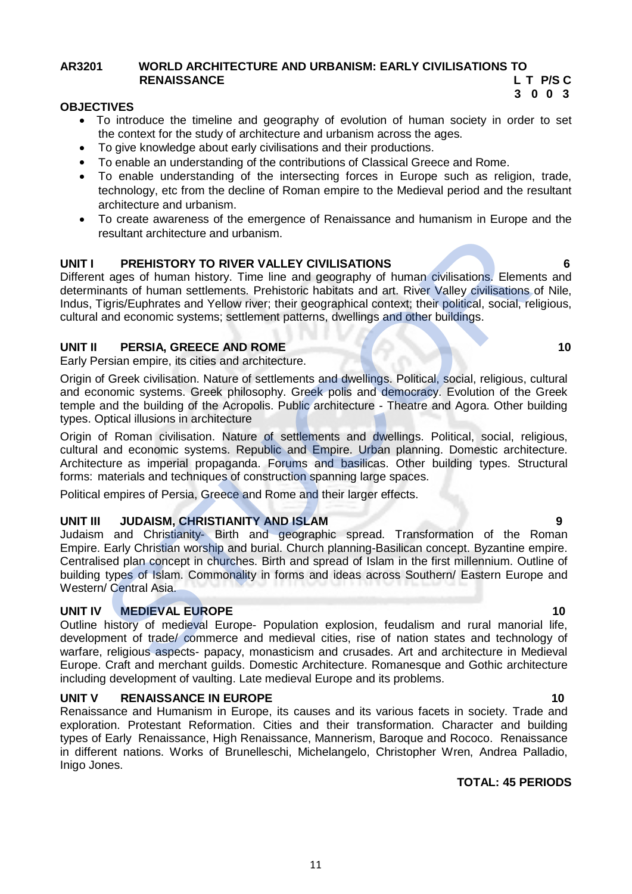#### **AR3201 WORLD ARCHITECTURE AND URBANISM: EARLY CIVILISATIONS TO RENAISSANCE L T P/S C**

#### **3 0 0 3 OBJECTIVES**

- To introduce the timeline and geography of evolution of human society in order to set the context for the study of architecture and urbanism across the ages.
- To give knowledge about early civilisations and their productions.
- To enable an understanding of the contributions of Classical Greece and Rome.
- To enable understanding of the intersecting forces in Europe such as religion, trade, technology, etc from the decline of Roman empire to the Medieval period and the resultant architecture and urbanism.
- To create awareness of the emergence of Renaissance and humanism in Europe and the resultant architecture and urbanism.

### **UNIT I PREHISTORY TO RIVER VALLEY CIVILISATIONS 6**

Different ages of human history. Time line and geography of human civilisations. Elements and determinants of human settlements. Prehistoric habitats and art. River Valley civilisations of Nile, Indus, Tigris/Euphrates and Yellow river; their geographical context; their political, social, religious, cultural and economic systems; settlement patterns, dwellings and other buildings.

#### **UNIT II** PERSIA, GREECE AND ROME 10

Early Persian empire, its cities and architecture.

Origin of Greek civilisation. Nature of settlements and dwellings. Political, social, religious, cultural and economic systems. Greek philosophy. Greek polis and democracy. Evolution of the Greek temple and the building of the Acropolis. Public architecture - Theatre and Agora. Other building types. Optical illusions in architecture

Origin of Roman civilisation. Nature of settlements and dwellings. Political, social, religious, cultural and economic systems. Republic and Empire. Urban planning. Domestic architecture. Architecture as imperial propaganda. Forums and basilicas. Other building types. Structural forms: materials and techniques of construction spanning large spaces.

Political empires of Persia, Greece and Rome and their larger effects.

### **UNIT III JUDAISM, CHRISTIANITY AND ISLAM 9**

Judaism and Christianity- Birth and geographic spread. Transformation of the Roman Empire. Early Christian worship and burial. Church planning-Basilican concept. Byzantine empire. Centralised plan concept in churches. Birth and spread of Islam in the first millennium. Outline of building types of Islam. Commonality in forms and ideas across Southern/ Eastern Europe and Western/ Central Asia. resultant architecture and urbanism.<br>
The ages of human sixtory. Time line and geography of human civilisations. Elementants of human stituty must in ensing departion points and velocy chip in the main of georaphical conte

#### **UNIT IV MEDIEVAL EUROPE 10** 10

Outline history of medieval Europe- Population explosion, feudalism and rural manorial life, development of trade/ commerce and medieval cities, rise of nation states and technology of warfare, religious aspects- papacy, monasticism and crusades. Art and architecture in Medieval Europe. Craft and merchant guilds. Domestic Architecture. Romanesque and Gothic architecture including development of vaulting. Late medieval Europe and its problems.

#### **UNIT V RENAISSANCE IN EUROPE 10 10 10**

Renaissance and Humanism in Europe, its causes and its various facets in society. Trade and exploration. Protestant Reformation. Cities and their transformation. Character and building types of Early Renaissance, High Renaissance, Mannerism, Baroque and Rococo. Renaissance in different nations. Works of Brunelleschi, Michelangelo, Christopher Wren, Andrea Palladio, Inigo Jones.

#### **TOTAL: 45 PERIODS**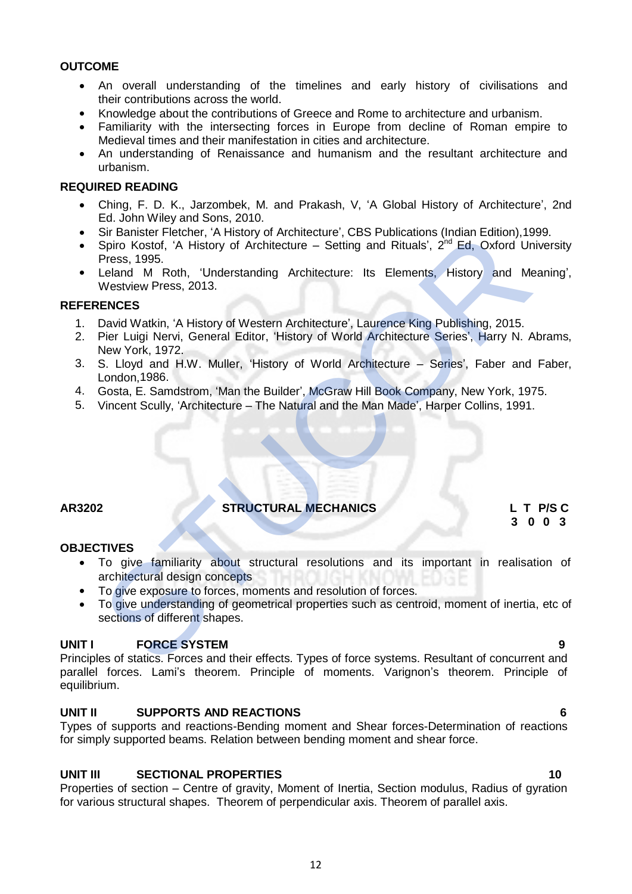#### **OUTCOME**

- An overall understanding of the timelines and early history of civilisations and their contributions across the world.
- Knowledge about the contributions of Greece and Rome to architecture and urbanism.
- Familiarity with the intersecting forces in Europe from decline of Roman empire to Medieval times and their manifestation in cities and architecture.
- An understanding of Renaissance and humanism and the resultant architecture and urbanism.

#### **REQUIRED READING**

- Ching, F. D. K., Jarzombek, M. and Prakash, V, 'A Global History of Architecture', 2nd Ed. John Wiley and Sons, 2010.
- Sir Banister Fletcher, 'A History of Architecture', CBS Publications (Indian Edition),1999.
- Spiro Kostof, 'A History of Architecture Setting and Rituals', 2<sup>nd</sup> Ed, Oxford University Press, 1995.
- Leland M Roth, 'Understanding Architecture: Its Elements, History and Meaning', Westview Press, 2013.

#### **REFERENCES**

- 1. David Watkin, 'A History of Western Architecture', Laurence King Publishing, 2015.
- 2. Pier Luigi Nervi, General Editor, 'History of World Architecture Series', Harry N. Abrams, New York, 1972.
- 3. S. Lloyd and H.W. Muller, 'History of World Architecture Series', Faber and Faber, London,1986.
- 4. Gosta, E. Samdstrom, 'Man the Builder', McGraw Hill Book Company, New York, 1975.
- 5. Vincent Scully, 'Architecture The Natural and the Man Made', Harper Collins, 1991.

**AR3202 STRUCTURAL MECHANICS L T P/S C**

# **3 0 0 3**

#### **OBJECTIVES**

- To give familiarity about structural resolutions and its important in realisation of architectural design concepts Sir Banster Fletcher, 'A History of Architecture', CBS Publications (Indian Edition), 19<br>
Spiro Kostof, 'A History of Architecture – Setting and Rituals', 2<sup>nd</sup> Ed. Oxford Un<br>
Leland M. Roth, 'Understanding Architecture'.
- To give exposure to forces, moments and resolution of forces.
- To give understanding of geometrical properties such as centroid, moment of inertia, etc of sections of different shapes.

### **UNIT I** FORCE SYSTEM 9

Principles of statics. Forces and their effects. Types of force systems. Resultant of concurrent and parallel forces. Lami's theorem. Principle of moments. Varignon's theorem. Principle of equilibrium.

### **UNIT II SUPPORTS AND REACTIONS 6**

Types of supports and reactions-Bending moment and Shear forces-Determination of reactions for simply supported beams. Relation between bending moment and shear force.

### **UNIT III SECTIONAL PROPERTIES 10**

Properties of section – Centre of gravity, Moment of Inertia, Section modulus, Radius of gyration for various structural shapes. Theorem of perpendicular axis. Theorem of parallel axis.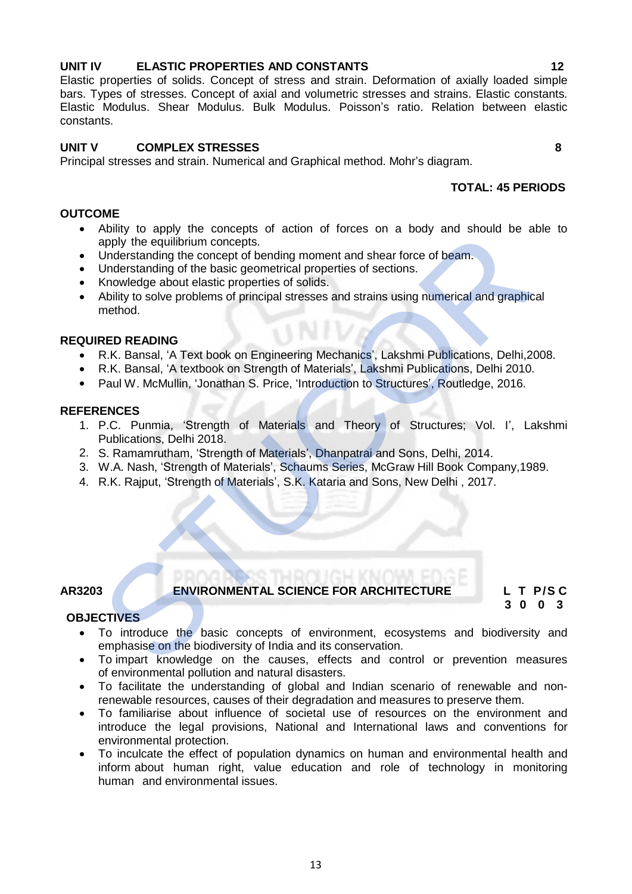# **UNIT IV ELASTIC PROPERTIES AND CONSTANTS 12**

# Elastic properties of solids. Concept of stress and strain. Deformation of axially loaded simple bars. Types of stresses. Concept of axial and volumetric stresses and strains. Elastic constants.

# **UNIT V COMPLEX STRESSES 8**

Principal stresses and strain. Numerical and Graphical method. Mohr's diagram.

# **TOTAL: 45 PERIODS**

# **OUTCOME**

constants.

 Ability to apply the concepts of action of forces on a body and should be able to apply the equilibrium concepts.

Elastic Modulus. Shear Modulus. Bulk Modulus. Poisson's ratio. Relation between elastic

- Understanding the concept of bending moment and shear force of beam.
- Understanding of the basic geometrical properties of sections.
- Knowledge about elastic properties of solids.
- Ability to solve problems of principal stresses and strains using numerical and graphical method. Noting to apply the equilibrium concepts.<br>
Apply the equilibrium concepts of bending moment and shear force of beam.<br>
Understanding of the basic geometrical properties of sections.<br>
Honderstanding of the basic geometrical

# **REQUIRED READING**

- R.K. Bansal, 'A Text book on Engineering Mechanics', Lakshmi Publications, Delhi,2008.
- R.K. Bansal, 'A textbook on Strength of Materials', Lakshmi Publications, Delhi 2010.
- Paul W. McMullin, 'Jonathan S. Price, 'Introduction to Structures', Routledge, 2016.

# **REFERENCES**

- 1. P.C. Punmia, 'Strength of Materials and Theory of Structures; Vol. I', Lakshmi Publications, Delhi 2018.
- 2. S. Ramamrutham, 'Strength of Materials', Dhanpatrai and Sons, Delhi, 2014.
- 3. W.A. Nash, 'Strength of Materials', Schaums Series, McGraw Hill Book Company,1989.
- 4. R.K. Rajput, 'Strength of Materials', S.K. Kataria and Sons, New Delhi , 2017.

# **AR3203 ENVIRONMENTAL SCIENCE FOR ARCHITECTURE L T P/S C**

**3 0 0 3** 

### **OBJECTIVES**

- To introduce the basic concepts of environment, ecosystems and biodiversity and emphasise on the biodiversity of India and its conservation.
- To impart knowledge on the causes, effects and control or prevention measures of environmental pollution and natural disasters.
- To facilitate the understanding of global and Indian scenario of renewable and nonrenewable resources, causes of their degradation and measures to preserve them.
- To familiarise about influence of societal use of resources on the environment and introduce the legal provisions, National and International laws and conventions for environmental protection.
- To inculcate the effect of population dynamics on human and environmental health and inform about human right, value education and role of technology in monitoring human and environmental issues.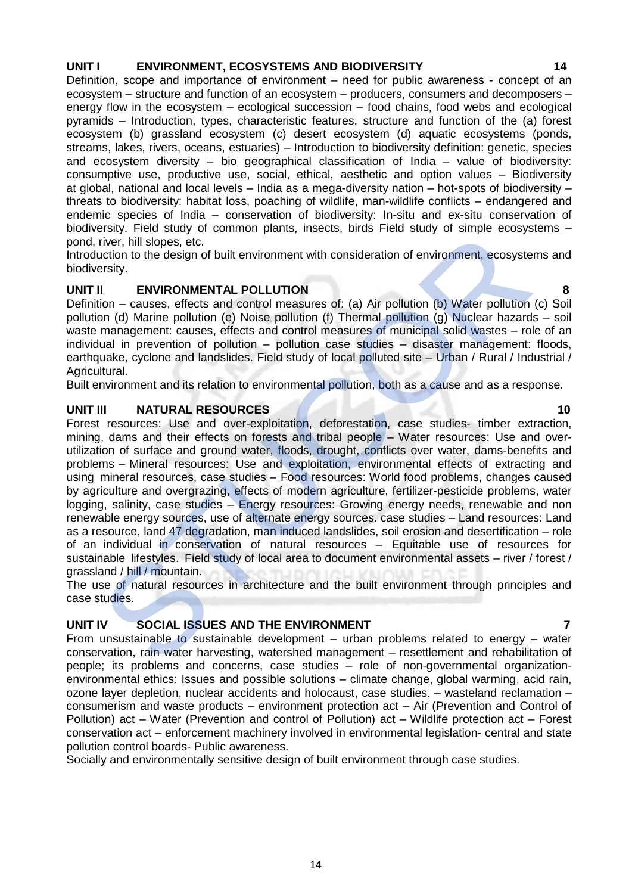#### **UNIT I ENVIRONMENT, ECOSYSTEMS AND BIODIVERSITY 14**

Definition, scope and importance of environment – need for public awareness - concept of an ecosystem – structure and function of an ecosystem – producers, consumers and decomposers – energy flow in the ecosystem – ecological succession – food chains, food webs and ecological pyramids – Introduction, types, characteristic features, structure and function of the (a) forest ecosystem (b) grassland ecosystem (c) desert ecosystem (d) aquatic ecosystems (ponds, streams, lakes, rivers, oceans, estuaries) – Introduction to biodiversity definition: genetic, species and ecosystem diversity – bio geographical classification of India – value of biodiversity: consumptive use, productive use, social, ethical, aesthetic and option values – Biodiversity at global, national and local levels – India as a mega-diversity nation – hot-spots of biodiversity – threats to biodiversity: habitat loss, poaching of wildlife, man-wildlife conflicts – endangered and endemic species of India – conservation of biodiversity: In-situ and ex-situ conservation of biodiversity. Field study of common plants, insects, birds Field study of simple ecosystems – pond, river, hill slopes, etc.

Introduction to the design of built environment with consideration of environment, ecosystems and biodiversity.

### **UNIT II ENVIRONMENTAL POLLUTION 8**

Definition – causes, effects and control measures of: (a) Air pollution (b) Water pollution (c) Soil pollution (d) Marine pollution (e) Noise pollution (f) Thermal pollution (g) Nuclear hazards – soil waste management: causes, effects and control measures of municipal solid wastes – role of an individual in prevention of pollution – pollution case studies – disaster management: floods, earthquake, cyclone and landslides. Field study of local polluted site – Urban / Rural / Industrial / Agricultural.

Built environment and its relation to environmental pollution, both as a cause and as a response.

### **UNIT III** NATURAL RESOURCES 10

Forest resources: Use and over-exploitation, deforestation, case studies- timber extraction, mining, dams and their effects on forests and tribal people – Water resources: Use and overutilization of surface and ground water, floods, drought, conflicts over water, dams-benefits and problems – Mineral resources: Use and exploitation, environmental effects of extracting and using mineral resources, case studies – Food resources: World food problems, changes caused by agriculture and overgrazing, effects of modern agriculture, fertilizer-pesticide problems, water logging, salinity, case studies - Energy resources: Growing energy needs, renewable and non renewable energy sources, use of alternate energy sources. case studies – Land resources: Land as a resource, land 47 degradation, man induced landslides, soil erosion and desertification – role of an individual in conservation of natural resources – Equitable use of resources for sustainable lifestyles. Field study of local area to document environmental assets – river / forest / grassland / hill / mountain. is the state and ground water, lines and control particle in the state of the state of the state of the state of the state of the state of the state of the state of the state of the state of the state of the state of the s

The use of natural resources in architecture and the built environment through principles and case studies.

### **UNIT IV SOCIAL ISSUES AND THE ENVIRONMENT 7**

From unsustainable to sustainable development – urban problems related to energy – water conservation, rain water harvesting, watershed management – resettlement and rehabilitation of people; its problems and concerns, case studies – role of non-governmental organizationenvironmental ethics: Issues and possible solutions – climate change, global warming, acid rain, ozone layer depletion, nuclear accidents and holocaust, case studies. – wasteland reclamation – consumerism and waste products – environment protection act – Air (Prevention and Control of Pollution) act – Water (Prevention and control of Pollution) act – Wildlife protection act – Forest conservation act – enforcement machinery involved in environmental legislation- central and state pollution control boards- Public awareness.

Socially and environmentally sensitive design of built environment through case studies.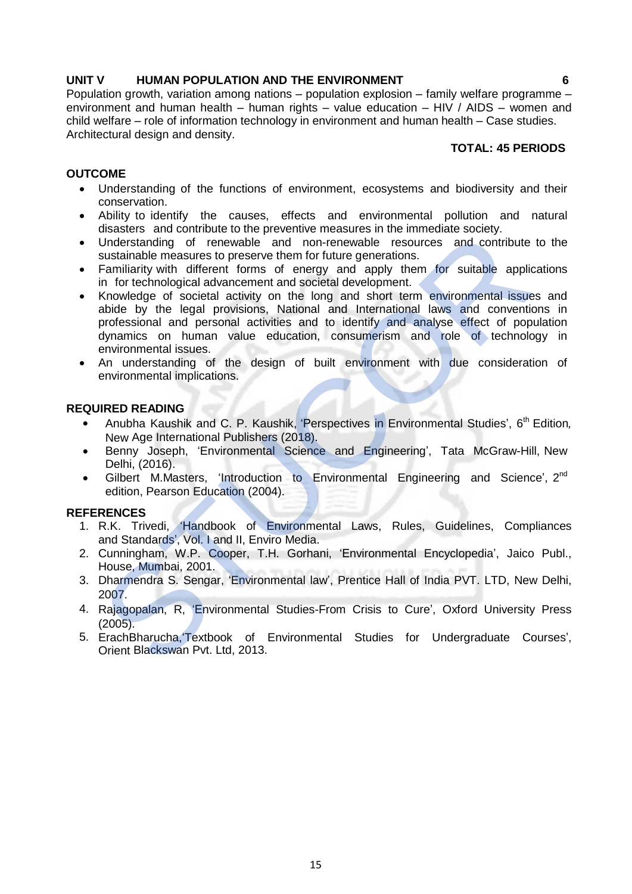### **UNIT V HUMAN POPULATION AND THE ENVIRONMENT 6**

Population growth, variation among nations – population explosion – family welfare programme – environment and human health – human rights – value education – HIV / AIDS – women and child welfare – role of information technology in environment and human health – Case studies. Architectural design and density.

# **TOTAL: 45 PERIODS**

### **OUTCOME**

- Understanding of the functions of environment, ecosystems and biodiversity and their conservation.
- Ability to identify the causes, effects and environmental pollution and natural disasters and contribute to the preventive measures in the immediate society.
- Understanding of renewable and non-renewable resources and contribute to the sustainable measures to preserve them for future generations.
- Familiarity with different forms of energy and apply them for suitable applications in for technological advancement and societal development.
- Knowledge of societal activity on the long and short term environmental issues and abide by the legal provisions, National and International laws and conventions in professional and personal activities and to identify and analyse effect of population dynamics on human value education, consumerism and role of technology in environmental issues. unsateurs and continuous correct the preventive firesources and contribute to the Sustialiable measures to preserve them for futritive generations.<br>
Substituting the measures to preserve them for futritive generations.<br>
Fa
- An understanding of the design of built environment with due consideration of environmental implications.

#### **REQUIRED READING**

- Anubha Kaushik and C. P. Kaushik, 'Perspectives in Environmental Studies', 6<sup>th</sup> Edition, New Age International Publishers (2018).
- Benny Joseph, 'Environmental Science and Engineering', Tata McGraw-Hill, New Delhi, (2016).
- Gilbert M.Masters, 'Introduction to Environmental Engineering and Science', 2<sup>nd</sup> edition, Pearson Education (2004).

- 1. R.K. Trivedi, 'Handbook of Environmental Laws, Rules, Guidelines, Compliances and Standards', Vol. I and II, Enviro Media.
- 2. Cunningham, W.P. Cooper, T.H. Gorhani, 'Environmental Encyclopedia', Jaico Publ., House, Mumbai, 2001.
- 3. Dharmendra S. Sengar, 'Environmental law', Prentice Hall of India PVT. LTD, New Delhi, 2007.
- 4. Rajagopalan, R, 'Environmental Studies-From Crisis to Cure', Oxford University Press (2005).
- 5. ErachBharucha,'Textbook of Environmental Studies for Undergraduate Courses',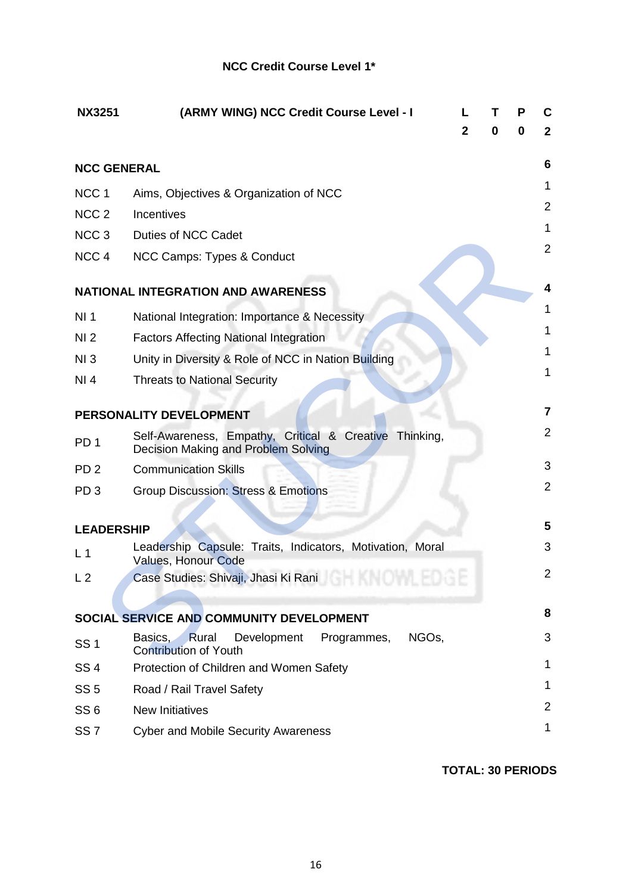# **NCC Credit Course Level 1\***

| <b>NX3251</b>      | (ARMY WING) NCC Credit Course Level - I                                                              | $\mathbf{2}$ | 0 | P<br>0 | C<br>$\mathbf{2}$ |
|--------------------|------------------------------------------------------------------------------------------------------|--------------|---|--------|-------------------|
| <b>NCC GENERAL</b> |                                                                                                      |              |   |        | 6                 |
| NCC <sub>1</sub>   | Aims, Objectives & Organization of NCC                                                               |              |   |        | 1                 |
| NCC <sub>2</sub>   | Incentives                                                                                           |              |   |        | $\overline{2}$    |
| NCC <sub>3</sub>   | Duties of NCC Cadet                                                                                  |              |   |        | 1                 |
| NCC <sub>4</sub>   | NCC Camps: Types & Conduct                                                                           |              |   |        | $\overline{2}$    |
|                    | <b>NATIONAL INTEGRATION AND AWARENESS</b>                                                            |              |   |        | 4                 |
| NI <sub>1</sub>    | National Integration: Importance & Necessity                                                         |              |   |        | 1                 |
| NI <sub>2</sub>    | <b>Factors Affecting National Integration</b>                                                        |              |   |        | 1                 |
| NI3                | Unity in Diversity & Role of NCC in Nation Building                                                  |              |   |        | 1                 |
| NI 4               | <b>Threats to National Security</b>                                                                  |              |   |        | 1                 |
|                    | PERSONALITY DEVELOPMENT                                                                              |              |   |        | $\overline{7}$    |
| PD <sub>1</sub>    | Self-Awareness, Empathy, Critical & Creative Thinking,<br>Decision Making and Problem Solving        |              |   |        | $\overline{2}$    |
| PD <sub>2</sub>    | <b>Communication Skills</b>                                                                          |              |   |        | 3                 |
| PD <sub>3</sub>    | <b>Group Discussion: Stress &amp; Emotions</b>                                                       |              |   |        | $\overline{2}$    |
|                    |                                                                                                      |              |   |        |                   |
| <b>LEADERSHIP</b>  |                                                                                                      |              |   |        | 5                 |
| L <sub>1</sub>     | Leadership Capsule: Traits, Indicators, Motivation, Moral<br><b>Values, Honour Code</b>              |              |   |        | 3                 |
| L <sub>2</sub>     | Case Studies: Shivaji, Jhasi Ki Rani <b>Case Studies: Shivaji, Jhasi Ki Rani</b>                     |              |   |        | 2                 |
|                    | SOCIAL SERVICE AND COMMUNITY DEVELOPMENT                                                             |              |   |        | 8                 |
| <b>SS1</b>         | Development<br>Programmes,<br>NGO <sub>s</sub> ,<br>Basics,<br>Rural<br><b>Contribution of Youth</b> |              |   |        | 3                 |
| SS <sub>4</sub>    | Protection of Children and Women Safety                                                              |              |   |        | 1                 |
| SS <sub>5</sub>    | Road / Rail Travel Safety                                                                            |              |   |        | 1                 |
| SS <sub>6</sub>    | <b>New Initiatives</b>                                                                               |              |   |        | $\overline{2}$    |
| SS <sub>7</sub>    | <b>Cyber and Mobile Security Awareness</b>                                                           |              |   |        | 1                 |

**TOTAL: 30 PERIODS**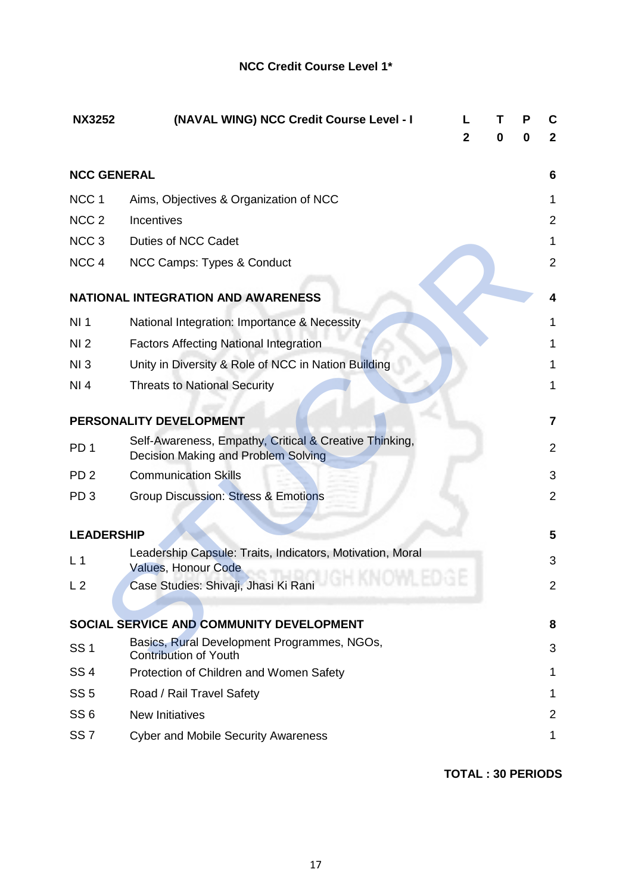| <b>NX3252</b>      | (NAVAL WING) NCC Credit Course Level - I                                                      | 2 | т<br>0 | Р<br>0 | C<br>$\mathbf{2}$       |
|--------------------|-----------------------------------------------------------------------------------------------|---|--------|--------|-------------------------|
| <b>NCC GENERAL</b> |                                                                                               |   |        |        | 6                       |
| NCC <sub>1</sub>   | Aims, Objectives & Organization of NCC                                                        |   |        |        | 1                       |
| NCC <sub>2</sub>   | Incentives                                                                                    |   |        |        | 2                       |
| NCC <sub>3</sub>   | Duties of NCC Cadet                                                                           |   |        |        | 1                       |
| NCC <sub>4</sub>   | NCC Camps: Types & Conduct                                                                    |   |        |        | $\overline{2}$          |
|                    | <b>NATIONAL INTEGRATION AND AWARENESS</b>                                                     |   |        |        | 4                       |
| NI <sub>1</sub>    | National Integration: Importance & Necessity                                                  |   |        |        | 1                       |
| NI <sub>2</sub>    | <b>Factors Affecting National Integration</b>                                                 |   |        |        | 1                       |
| NI3                | Unity in Diversity & Role of NCC in Nation Building                                           |   |        |        | 1                       |
| NI 4               | <b>Threats to National Security</b>                                                           |   |        |        | 1                       |
|                    | PERSONALITY DEVELOPMENT                                                                       |   |        |        | $\overline{\mathbf{7}}$ |
| PD <sub>1</sub>    | Self-Awareness, Empathy, Critical & Creative Thinking,<br>Decision Making and Problem Solving |   |        |        | $\overline{2}$          |
| PD <sub>2</sub>    | <b>Communication Skills</b>                                                                   |   |        |        | 3                       |
| PD <sub>3</sub>    | <b>Group Discussion: Stress &amp; Emotions</b>                                                |   |        |        | $\overline{2}$          |
| <b>LEADERSHIP</b>  |                                                                                               |   |        |        | 5                       |
| L <sub>1</sub>     | Leadership Capsule: Traits, Indicators, Motivation, Moral                                     |   |        |        | 3                       |
| L <sub>2</sub>     | <b>Values, Honour Code</b><br>Case Studies: Shivaji, Jhasi Ki Rani                            |   |        |        | 2                       |
|                    |                                                                                               |   |        |        |                         |
|                    | SOCIAL SERVICE AND COMMUNITY DEVELOPMENT                                                      |   |        |        | 8                       |
| <b>SS1</b>         | Basics, Rural Development Programmes, NGOs,<br><b>Contribution of Youth</b>                   |   |        |        | 3                       |
| <b>SS4</b>         | Protection of Children and Women Safety                                                       |   |        |        | 1                       |
| SS <sub>5</sub>    | Road / Rail Travel Safety                                                                     |   |        |        | 1                       |
| SS <sub>6</sub>    | <b>New Initiatives</b>                                                                        |   |        |        | $\overline{2}$          |
| SS <sub>7</sub>    | <b>Cyber and Mobile Security Awareness</b>                                                    |   |        |        | 1                       |

**TOTAL : 30 PERIODS**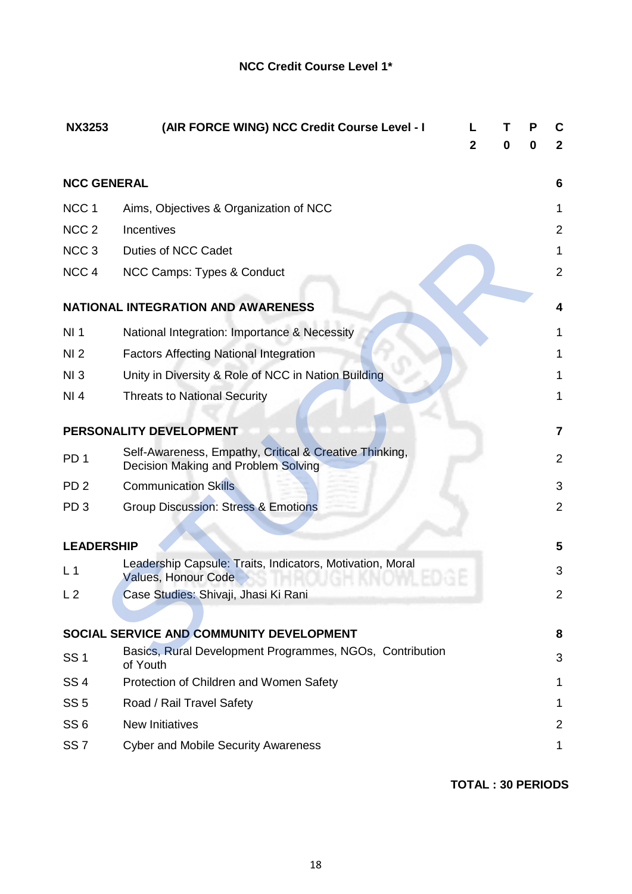| (AIR FORCE WING) NCC Credit Course Level - I<br><b>NX3253</b>                                 |                                                                                                                                                                                                                                |   | Р | C<br>$\mathbf{2}$ |
|-----------------------------------------------------------------------------------------------|--------------------------------------------------------------------------------------------------------------------------------------------------------------------------------------------------------------------------------|---|---|-------------------|
|                                                                                               |                                                                                                                                                                                                                                |   |   |                   |
| <b>NCC GENERAL</b>                                                                            |                                                                                                                                                                                                                                |   |   | 6                 |
| Aims, Objectives & Organization of NCC                                                        |                                                                                                                                                                                                                                |   |   | 1                 |
| Incentives                                                                                    |                                                                                                                                                                                                                                |   |   | $\overline{2}$    |
| Duties of NCC Cadet                                                                           |                                                                                                                                                                                                                                |   |   | 1                 |
| NCC Camps: Types & Conduct                                                                    |                                                                                                                                                                                                                                |   |   | $\overline{2}$    |
| <b>NATIONAL INTEGRATION AND AWARENESS</b>                                                     |                                                                                                                                                                                                                                |   |   | 4                 |
| National Integration: Importance & Necessity                                                  |                                                                                                                                                                                                                                |   |   | 1                 |
| <b>Factors Affecting National Integration</b>                                                 |                                                                                                                                                                                                                                |   |   | 1                 |
| Unity in Diversity & Role of NCC in Nation Building                                           |                                                                                                                                                                                                                                |   |   | 1                 |
| <b>Threats to National Security</b>                                                           |                                                                                                                                                                                                                                |   |   | 1                 |
| PERSONALITY DEVELOPMENT                                                                       |                                                                                                                                                                                                                                |   |   | 7                 |
| Self-Awareness, Empathy, Critical & Creative Thinking,<br>Decision Making and Problem Solving |                                                                                                                                                                                                                                |   |   | $\overline{2}$    |
| <b>Communication Skills</b>                                                                   |                                                                                                                                                                                                                                |   |   | 3                 |
| <b>Group Discussion: Stress &amp; Emotions</b>                                                |                                                                                                                                                                                                                                |   |   | $\overline{2}$    |
|                                                                                               |                                                                                                                                                                                                                                |   |   | 5                 |
|                                                                                               |                                                                                                                                                                                                                                |   |   |                   |
| Values, Honour Code                                                                           |                                                                                                                                                                                                                                |   |   | 3                 |
|                                                                                               |                                                                                                                                                                                                                                |   |   | 2                 |
|                                                                                               |                                                                                                                                                                                                                                |   |   |                   |
|                                                                                               |                                                                                                                                                                                                                                |   |   | 8                 |
| of Youth                                                                                      |                                                                                                                                                                                                                                |   |   | 3                 |
| Protection of Children and Women Safety                                                       |                                                                                                                                                                                                                                |   |   | 1                 |
| Road / Rail Travel Safety                                                                     |                                                                                                                                                                                                                                |   |   | 1                 |
| <b>New Initiatives</b>                                                                        |                                                                                                                                                                                                                                |   |   | $\overline{2}$    |
| <b>Cyber and Mobile Security Awareness</b>                                                    |                                                                                                                                                                                                                                |   |   | 1                 |
|                                                                                               | <b>LEADERSHIP</b><br>Leadership Capsule: Traits, Indicators, Motivation, Moral<br>Case Studies: Shivaji, Jhasi Ki Rani<br>SOCIAL SERVICE AND COMMUNITY DEVELOPMENT<br>Basics, Rural Development Programmes, NGOs, Contribution | 2 | 0 | 0                 |

**TOTAL : 30 PERIODS**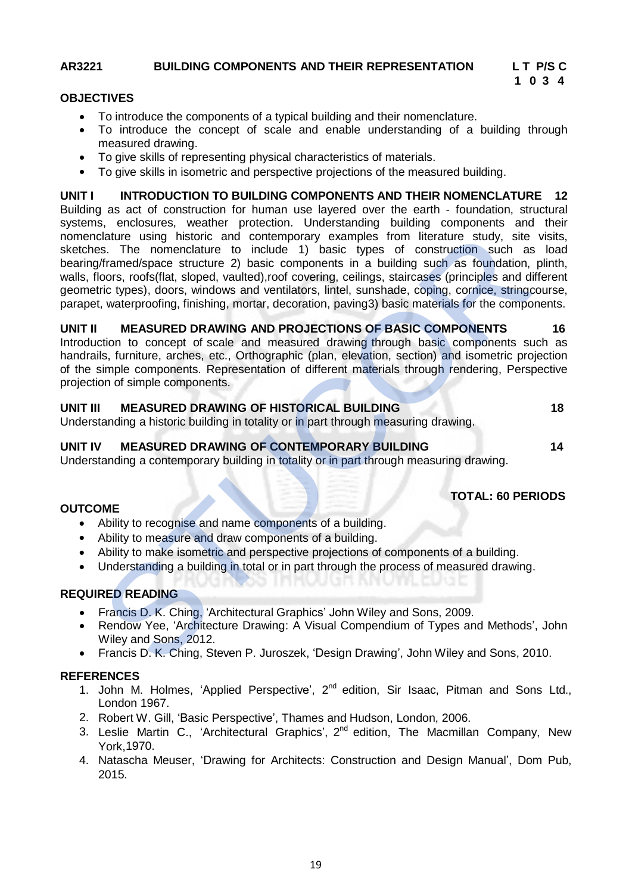# **AR3221 BUILDING COMPONENTS AND THEIR REPRESENTATION L T P/S C**

# **1 0 3 4**

#### **OBJECTIVES**

- To introduce the components of a typical building and their nomenclature.
- To introduce the concept of scale and enable understanding of a building through measured drawing.
- To give skills of representing physical characteristics of materials.
- To give skills in isometric and perspective projections of the measured building.

**UNIT I INTRODUCTION TO BUILDING COMPONENTS AND THEIR NOMENCLATURE 12** Building as act of construction for human use layered over the earth - foundation, structural systems, enclosures, weather protection. Understanding building components and their nomenclature using historic and contemporary examples from literature study, site visits, sketches. The nomenclature to include 1) basic types of construction such as load bearing/framed/space structure 2) basic components in a building such as foundation, plinth, walls, floors, roofs(flat, sloped, vaulted),roof covering, ceilings, staircases (principles and different geometric types), doors, windows and ventilators, lintel, sunshade, coping, cornice, stringcourse, parapet, waterproofing, finishing, mortar, decoration, paving3) basic materials for the components. clature using historic and contemporary examples from literature study, site<br>stas. The nomenclature to include 1) basic toyes of construction such as<br>formed/space structure 2) basic components in a building such as foundat

#### **UNIT II MEASURED DRAWING AND PROJECTIONS OF BASIC COMPONENTS 16**

Introduction to concept of scale and measured drawing through basic components such as handrails, furniture, arches, etc., Orthographic (plan, elevation, section) and isometric projection of the simple components. Representation of different materials through rendering, Perspective projection of simple components.

# **UNIT III MEASURED DRAWING OF HISTORICAL BUILDING 18**

Understanding a historic building in totality or in part through measuring drawing.

#### **UNIT IV MEASURED DRAWING OF CONTEMPORARY BUILDING 14**

Understanding a contemporary building in totality or in part through measuring drawing.

### **TOTAL: 60 PERIODS**

#### **OUTCOME**

- Ability to recognise and name components of a building.
- Ability to measure and draw components of a building.
- Ability to make isometric and perspective projections of components of a building.
- Understanding a building in total or in part through the process of measured drawing.

### **REQUIRED READING**

- Francis D. K. Ching, 'Architectural Graphics' John Wiley and Sons, 2009.
- Rendow Yee, 'Architecture Drawing: A Visual Compendium of Types and Methods', John Wiley and Sons, 2012.
- Francis D. K. Ching, Steven P. Juroszek, 'Design Drawing', John Wiley and Sons, 2010.

- 1. John M. Holmes, 'Applied Perspective', 2<sup>nd</sup> edition, Sir Isaac, Pitman and Sons Ltd., London 1967.
- 2. Robert W. Gill, 'Basic Perspective', Thames and Hudson, London, 2006.
- 3. Leslie Martin C., 'Architectural Graphics', 2<sup>nd</sup> edition, The Macmillan Company, New York,1970.
- 4. Natascha Meuser, 'Drawing for Architects: Construction and Design Manual', Dom Pub, 2015.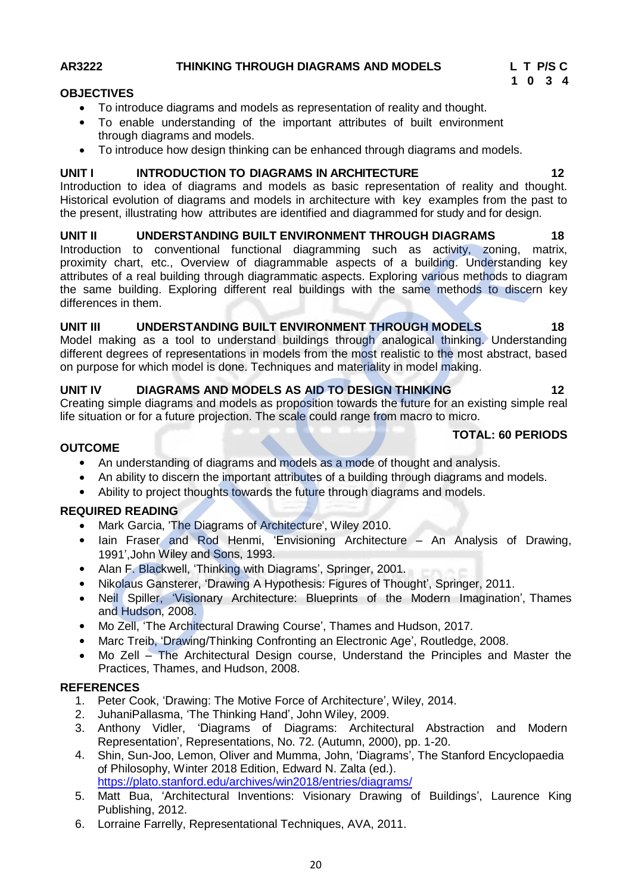# **AR3222 THINKING THROUGH DIAGRAMS AND MODELS L T P/S C**

### **OBJECTIVES**

- To introduce diagrams and models as representation of reality and thought.
- To enable understanding of the important attributes of built environment through diagrams and models.
- To introduce how design thinking can be enhanced through diagrams and models.

### **UNIT I INTRODUCTION TO DIAGRAMS IN ARCHITECTURE 12**

Introduction to idea of diagrams and models as basic representation of reality and thought. Historical evolution of diagrams and models in architecture with key examples from the past to the present, illustrating how attributes are identified and diagrammed for study and for design.

# **UNIT II UNDERSTANDING BUILT ENVIRONMENT THROUGH DIAGRAMS 18**

Introduction to conventional functional diagramming such as activity, zoning, matrix, proximity chart, etc., Overview of diagrammable aspects of a building. Understanding key attributes of a real building through diagrammatic aspects. Exploring various methods to diagram the same building. Exploring different real buildings with the same methods to discern key differences in them. UNDERSTAINING BUILT ENVIRONMENT THROUGH DIAGRAMS<br>
riction to conventional functional diagramming such as activity, zoning, it<br>
ity chart, etc., Overview of diagrammable aspects of a building. Understandin<br>
ity chart, etc.,

# **UNIT III UNDERSTANDING BUILT ENVIRONMENT THROUGH MODELS 18**

Model making as a tool to understand buildings through analogical thinking. Understanding different degrees of representations in models from the most realistic to the most abstract, based on purpose for which model is done. Techniques and materiality in model making.

# **UNIT IV DIAGRAMS AND MODELS AS AID TO DESIGN THINKING 12**

Creating simple diagrams and models as proposition towards the future for an existing simple real life situation or for a future projection. The scale could range from macro to micro.

# **OUTCOME**

- An understanding of diagrams and models as a mode of thought and analysis.
- An ability to discern the important attributes of a building through diagrams and models.
- Ability to project thoughts towards the future through diagrams and models.

# **REQUIRED READING**

- Mark Garcia, 'The Diagrams of Architecture', Wiley 2010.
- Iain Fraser and Rod Henmi, 'Envisioning Architecture An Analysis of Drawing, 1991',John Wiley and Sons, 1993.
- Alan F. Blackwell, 'Thinking with Diagrams', Springer, 2001.
- Nikolaus Gansterer, 'Drawing A Hypothesis: Figures of Thought', Springer, 2011.
- Neil Spiller, 'Visionary Architecture: Blueprints of the Modern Imagination', Thames and Hudson, 2008.
- Mo Zell, 'The Architectural Drawing Course', Thames and Hudson, 2017.
- Marc Treib, 'Drawing/Thinking Confronting an Electronic Age', Routledge, 2008.
- Mo Zell The Architectural Design course, Understand the Principles and Master the Practices, Thames, and Hudson, 2008.

### **REFERENCES**

- 1. Peter Cook, 'Drawing: The Motive Force of Architecture', Wiley, 2014.
- 2. JuhaniPallasma, 'The Thinking Hand', John Wiley, 2009.
- 3. Anthony Vidler, 'Diagrams of Diagrams: Architectural Abstraction and Modern Representation', Representations, No. 72. (Autumn, 2000), pp. 1-20.
- 4. Shin, Sun-Joo, Lemon, Oliver and Mumma, John, 'Diagrams', The Stanford Encyclopaedia of Philosophy, Winter 2018 Edition, Edward N. Zalta (ed.). https://plato.stanford.edu/archives/win2018/entries/diagrams/
- 5. Matt Bua, 'Architectural Inventions: Visionary Drawing of Buildings', Laurence King Publishing, 2012.
- 6. Lorraine Farrelly, Representational Techniques, AVA, 2011.



**TOTAL: 60 PERIODS**